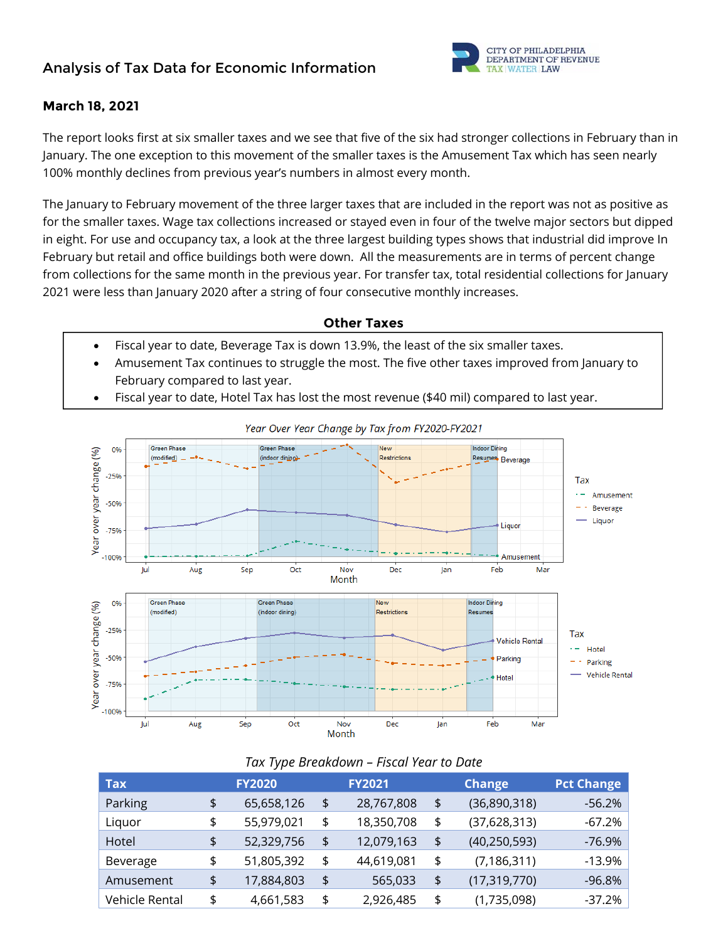# **Analysis of Tax Data for Economic Information**



### **March 18, 2021**

The report looks first at six smaller taxes and we see that five of the six had stronger collections in February than in January. The one exception to this movement of the smaller taxes is the Amusement Tax which has seen nearly 100% monthly declines from previous year's numbers in almost every month.

The January to February movement of the three larger taxes that are included in the report was not as positive as for the smaller taxes. Wage tax collections increased or stayed even in four of the twelve major sectors but dipped in eight. For use and occupancy tax, a look at the three largest building types shows that industrial did improve In February but retail and office buildings both were down. All the measurements are in terms of percent change from collections for the same month in the previous year. For transfer tax, total residential collections for January 2021 were less than January 2020 after a string of four consecutive monthly increases.

### **Other Taxes**

- Fiscal year to date, Beverage Tax is down 13.9%, the least of the six smaller taxes.
- Amusement Tax continues to struggle the most. The five other taxes improved from January to February compared to last year.
- Fiscal year to date, Hotel Tax has lost the most revenue (\$40 mil) compared to last year.



#### Year Over Year Change by Tax from FY2020-FY2021

#### *Tax Type Breakdown – Fiscal Year to Date*

| <b>FY2020</b> |            | <b>FY2021</b>    | <b>Change</b>        | <b>Pct Change</b> |
|---------------|------------|------------------|----------------------|-------------------|
| \$            | 65,658,126 | \$<br>28,767,808 | \$<br>(36,890,318)   | $-56.2%$          |
| \$            | 55,979,021 | \$<br>18,350,708 | \$<br>(37, 628, 313) | $-67.2%$          |
| \$            | 52,329,756 | \$<br>12,079,163 | \$<br>(40, 250, 593) | $-76.9\%$         |
| \$            | 51,805,392 | \$<br>44,619,081 | \$<br>(7, 186, 311)  | $-13.9%$          |
| \$            | 17,884,803 | \$<br>565,033    | \$<br>(17, 319, 770) | $-96.8%$          |
| \$            | 4,661,583  | \$<br>2,926,485  | \$<br>(1,735,098)    | $-37.2%$          |
|               |            |                  |                      |                   |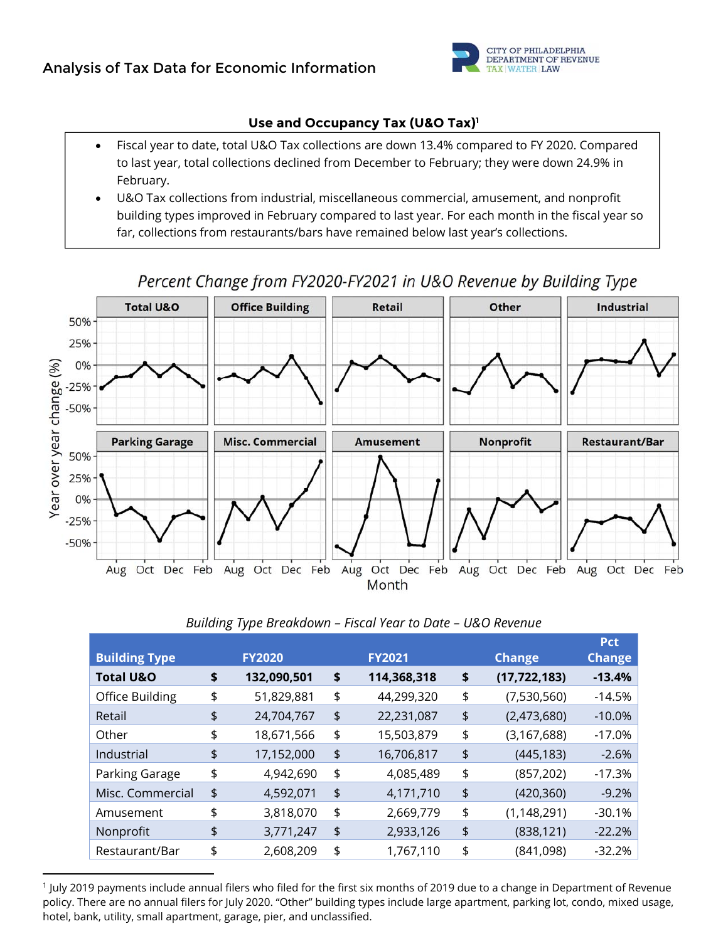

# **Use and Occupancy Tax (U&O Tax)1**

- Fiscal year to date, total U&O Tax collections are down 13.4% compared to FY 2020. Compared to last year, total collections declined from December to February; they were down 24.9% in February.
- U&O Tax collections from industrial, miscellaneous commercial, amusement, and nonprofit building types improved in February compared to last year. For each month in the fiscal year so far, collections from restaurants/bars have remained below last year's collections.



Percent Change from FY2020-FY2021 in U&O Revenue by Building Type

### *Building Type Breakdown – Fiscal Year to Date – U&O Revenue*

| <b>Building Type</b> | <b>FY2020</b>     | <b>FY2021</b>     | <b>Change</b>        | <b>Pct</b><br><b>Change</b> |
|----------------------|-------------------|-------------------|----------------------|-----------------------------|
| <b>Total U&amp;O</b> | \$<br>132,090,501 | \$<br>114,368,318 | \$<br>(17, 722, 183) | $-13.4%$                    |
| Office Building      | \$<br>51,829,881  | \$<br>44,299,320  | \$<br>(7,530,560)    | $-14.5%$                    |
| Retail               | \$<br>24,704,767  | \$<br>22,231,087  | \$<br>(2,473,680)    | $-10.0\%$                   |
| Other                | \$<br>18,671,566  | \$<br>15,503,879  | \$<br>(3, 167, 688)  | $-17.0%$                    |
| Industrial           | \$<br>17,152,000  | \$<br>16,706,817  | \$<br>(445, 183)     | $-2.6%$                     |
| Parking Garage       | \$<br>4,942,690   | \$<br>4,085,489   | \$<br>(857, 202)     | $-17.3%$                    |
| Misc. Commercial     | \$<br>4,592,071   | \$<br>4,171,710   | \$<br>(420, 360)     | $-9.2%$                     |
| Amusement            | \$<br>3,818,070   | \$<br>2,669,779   | \$<br>(1, 148, 291)  | $-30.1%$                    |
| Nonprofit            | \$<br>3,771,247   | \$<br>2,933,126   | \$<br>(838, 121)     | $-22.2%$                    |
| Restaurant/Bar       | \$<br>2,608,209   | \$<br>1,767,110   | \$<br>(841,098)      | $-32.2%$                    |

1 July 2019 payments include annual filers who filed for the first six months of 2019 due to a change in Department of Revenue policy. There are no annual filers for July 2020. "Other" building types include large apartment, parking lot, condo, mixed usage, hotel, bank, utility, small apartment, garage, pier, and unclassified.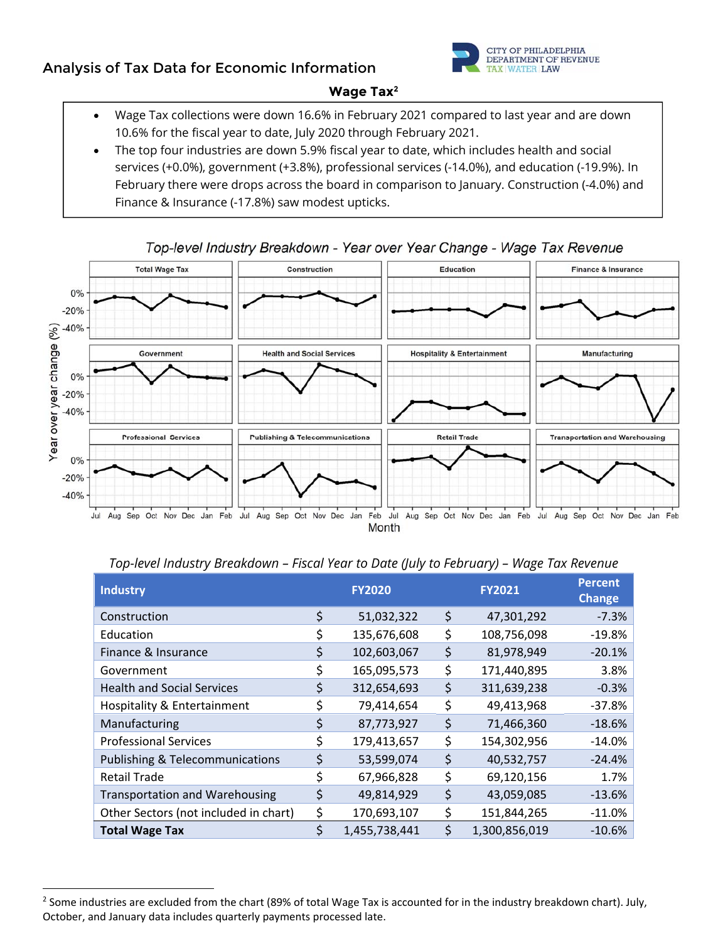# **Analysis of Tax Data for Economic Information**



## **Wage Tax2**

- Wage Tax collections were down 16.6% in February 2021 compared to last year and are down 10.6% for the fiscal year to date, July 2020 through February 2021.
- The top four industries are down 5.9% fiscal year to date, which includes health and social services (+0.0%), government (+3.8%), professional services (-14.0%), and education (-19.9%). In February there were drops across the board in comparison to January. Construction (-4.0%) and Finance & Insurance (-17.8%) saw modest upticks.



# Top-level Industry Breakdown - Year over Year Change - Wage Tax Revenue

| <b>Industry</b>                            |    | <b>FY2020</b> |    | <b>FY2021</b> | <b>Percent</b><br><b>Change</b> |
|--------------------------------------------|----|---------------|----|---------------|---------------------------------|
| Construction                               | \$ | 51,032,322    | \$ | 47,301,292    | $-7.3%$                         |
| Education                                  |    | 135,676,608   | \$ | 108,756,098   | $-19.8%$                        |
| Finance & Insurance                        |    | 102,603,067   | \$ | 81,978,949    | $-20.1%$                        |
| Government                                 |    | 165,095,573   | \$ | 171,440,895   | 3.8%                            |
| <b>Health and Social Services</b>          |    | 312,654,693   | \$ | 311,639,238   | $-0.3%$                         |
| <b>Hospitality &amp; Entertainment</b>     |    | 79,414,654    | \$ | 49,413,968    | $-37.8%$                        |
| Manufacturing                              | S  | 87,773,927    | \$ | 71,466,360    | $-18.6%$                        |
| <b>Professional Services</b>               | Ś  | 179,413,657   | \$ | 154,302,956   | $-14.0%$                        |
| <b>Publishing &amp; Telecommunications</b> | S  | 53,599,074    | \$ | 40,532,757    | $-24.4%$                        |
| <b>Retail Trade</b>                        | Ś  | 67,966,828    | \$ | 69,120,156    | 1.7%                            |
| <b>Transportation and Warehousing</b>      | Ś  | 49,814,929    | \$ | 43,059,085    | $-13.6%$                        |
| Other Sectors (not included in chart)      |    | 170,693,107   | \$ | 151,844,265   | $-11.0%$                        |
| <b>Total Wage Tax</b>                      | Ś  | 1,455,738,441 | Ś  | 1,300,856,019 | $-10.6%$                        |

# *Top-level Industry Breakdown – Fiscal Year to Date (July to February) – Wage Tax Revenue*

  $2$  Some industries are excluded from the chart (89% of total Wage Tax is accounted for in the industry breakdown chart). July, October, and January data includes quarterly payments processed late.